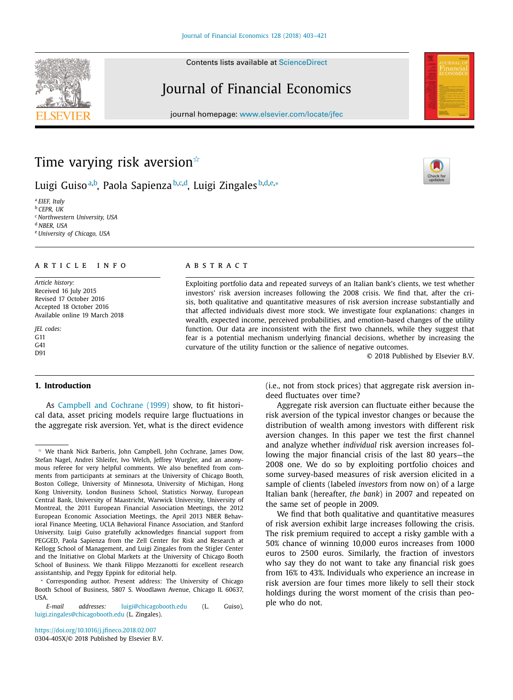Contents lists available at [ScienceDirect](http://www.ScienceDirect.com)

# Journal of Financial Economics

journal homepage: [www.elsevier.com/locate/jfec](http://www.elsevier.com/locate/jfec)





# Time varying risk aversion $^{\scriptscriptstyle\mathrm{\mathsf{\star}}}$

Luigi Guiso<sup>a,b</sup>, Paola Sapienza<sup>b,c,d</sup>, Luigi Zingales<sup>b,d,e,</sup>\*

<sup>a</sup> *EIEF, Italy* <sup>b</sup> *CEPR, UK* <sup>c</sup> *Northwestern University, USA* <sup>d</sup> *NBER, USA* <sup>e</sup> *University of Chicago, USA*

### a r t i c l e i n f o

*Article history:* Received 16 July 2015 Revised 17 October 2016 Accepted 18 October 2016 Available online 19 March 2018

*JEL codes:* G11 G41 D91

# **1. Introduction**

As [Campbell](#page-18-0) and Cochrane (1999) show, to fit historical data, asset pricing models require large fluctuations in the aggregate risk aversion. Yet, what is the direct evidence

# a b s t r a c t

Exploiting portfolio data and repeated surveys of an Italian bank's clients, we test whether investors' risk aversion increases following the 2008 crisis. We find that, after the crisis, both qualitative and quantitative measures of risk aversion increase substantially and that affected individuals divest more stock. We investigate four explanations: changes in wealth, expected income, perceived probabilities, and emotion-based changes of the utility function. Our data are inconsistent with the first two channels, while they suggest that fear is a potential mechanism underlying financial decisions, whether by increasing the curvature of the utility function or the salience of negative outcomes.

© 2018 Published by Elsevier B.V.

(i.e., not from stock prices) that aggregate risk aversion indeed fluctuates over time?

Aggregate risk aversion can fluctuate either because the risk aversion of the typical investor changes or because the distribution of wealth among investors with different risk aversion changes. In this paper we test the first channel and analyze whether *individual* risk aversion increases following the major financial crisis of the last 80 years—the 2008 one. We do so by exploiting portfolio choices and some survey-based measures of risk aversion elicited in a sample of clients (labeled *investors* from now on) of a large Italian bank (hereafter, *the bank*) in 2007 and repeated on the same set of people in 2009.

We find that both qualitative and quantitative measures of risk aversion exhibit large increases following the crisis. The risk premium required to accept a risky gamble with a 50% chance of winning 10,000 euros increases from 1000 euros to 2500 euros. Similarly, the fraction of investors who say they do not want to take any financial risk goes from 16% to 43%. Individuals who experience an increase in risk aversion are four times more likely to sell their stock holdings during the worst moment of the crisis than people who do not.

 $*$  We thank Nick Barberis, John Campbell, John Cochrane, James Dow, Stefan Nagel, Andrei Shleifer, Ivo Welch, Jeffrey Wurgler, and an anonymous referee for very helpful comments. We also benefited from comments from participants at seminars at the University of Chicago Booth, Boston College, University of Minnesota, University of Michigan, Hong Kong University, London Business School, Statistics Norway, European Central Bank, University of Maastricht, Warwick University, University of Montreal, the 2011 European Financial Association Meetings, the 2012 European Economic Association Meetings, the April 2013 NBER Behavioral Finance Meeting, UCLA Behavioral Finance Association, and Stanford University. Luigi Guiso gratefully acknowledges financial support from PEGGED, Paola Sapienza from the Zell Center for Risk and Research at Kellogg School of Management, and Luigi Zingales from the Stigler Center and the Initiative on Global Markets at the University of Chicago Booth School of Business. We thank Filippo Mezzanotti for excellent research assistantship, and Peggy Eppink for editorial help.

<sup>∗</sup> Corresponding author. Present address: The University of Chicago Booth School of Business, 5807 S. Woodlawn Avenue, Chicago IL 60637, **IISA** 

*E-mail addresses:* [luigi@chicagobooth.edu](mailto:luigi@chicagobooth.edu) (L. Guiso), [luigi.zingales@chicagobooth.edu](mailto:luigi.zingales@chicagobooth.edu) (L. Zingales).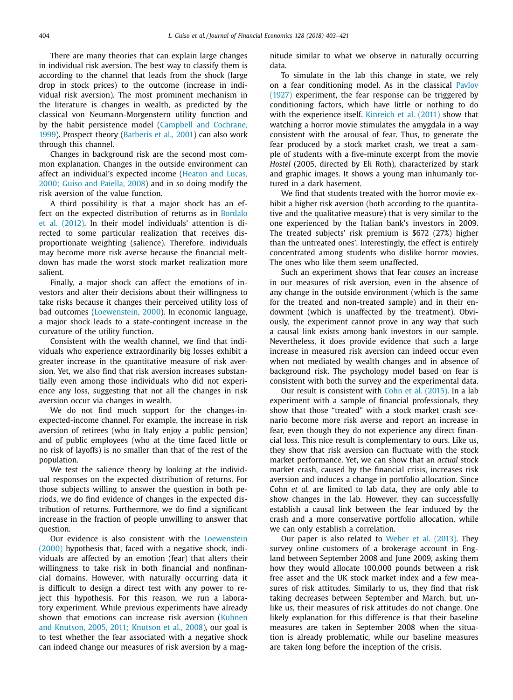There are many theories that can explain large changes in individual risk aversion. The best way to classify them is according to the channel that leads from the shock (large drop in stock prices) to the outcome (increase in individual risk aversion). The most prominent mechanism in the literature is changes in wealth, as predicted by the classical von Neumann-Morgenstern utility function and by the habit [persistence](#page-18-0) model (Campbell and Cochrane, 1999). Prospect theory [\(Barberis](#page-18-0) et al., 2001) can also work through this channel.

Changes in background risk are the second most common explanation. Changes in the outside environment can affect an [individual's](#page-18-0) expected income (Heaton and Lucas, 2000; Guiso and Paiella, 2008) and in so doing modify the risk aversion of the value function.

A third possibility is that a major shock has an effect on the expected [distribution](#page-18-0) of returns as in Bordalo et al. (2012). In their model individuals' attention is directed to some particular realization that receives disproportionate weighting (salience). Therefore, individuals may become more risk averse because the financial meltdown has made the worst stock market realization more salient.

Finally, a major shock can affect the emotions of investors and alter their decisions about their willingness to take risks because it changes their perceived utility loss of bad outcomes [\(Loewenstein,](#page-18-0) 2000). In economic language, a major shock leads to a state-contingent increase in the curvature of the utility function.

Consistent with the wealth channel, we find that individuals who experience extraordinarily big losses exhibit a greater increase in the quantitative measure of risk aversion. Yet, we also find that risk aversion increases substantially even among those individuals who did not experience any loss, suggesting that not all the changes in risk aversion occur via changes in wealth.

We do not find much support for the changes-inexpected-income channel. For example, the increase in risk aversion of retirees (who in Italy enjoy a public pension) and of public employees (who at the time faced little or no risk of layoffs) is no smaller than that of the rest of the population.

We test the salience theory by looking at the individual responses on the expected distribution of returns. For those subjects willing to answer the question in both periods, we do find evidence of changes in the expected distribution of returns. Furthermore, we do find a significant increase in the fraction of people unwilling to answer that question.

Our evidence is also consistent with the [Loewenstein](#page-18-0) (2000) hypothesis that, faced with a negative shock, individuals are affected by an emotion (fear) that alters their willingness to take risk in both financial and nonfinancial domains. However, with naturally occurring data it is difficult to design a direct test with any power to reject this hypothesis. For this reason, we run a laboratory experiment. While previous experiments have already shown that [emotions](#page-18-0) can increase risk aversion (Kuhnen and Knutson, 2005, 2011; Knutson et al., 2008), our goal is to test whether the fear associated with a negative shock can indeed change our measures of risk aversion by a magnitude similar to what we observe in naturally occurring data.

To simulate in the lab this change in state, we rely on a fear [conditioning](#page-18-0) model. As in the classical Pavlov (1927) experiment, the fear response can be triggered by conditioning factors, which have little or nothing to do with the experience itself. [Kinreich](#page-18-0) et al. (2011) show that watching a horror movie stimulates the amygdala in a way consistent with the arousal of fear. Thus, to generate the fear produced by a stock market crash, we treat a sample of students with a five-minute excerpt from the movie *Hostel* (2005, directed by Eli Roth), characterized by stark and graphic images. It shows a young man inhumanly tortured in a dark basement.

We find that students treated with the horror movie exhibit a higher risk aversion (both according to the quantitative and the qualitative measure) that is very similar to the one experienced by the Italian bank's investors in 2009. The treated subjects' risk premium is \$672 (27%) higher than the untreated ones'. Interestingly, the effect is entirely concentrated among students who dislike horror movies. The ones who like them seem unaffected.

Such an experiment shows that fear *causes* an increase in our measures of risk aversion, even in the absence of any change in the outside environment (which is the same for the treated and non-treated sample) and in their endowment (which is unaffected by the treatment). Obviously, the experiment cannot prove in any way that such a causal link exists among bank investors in our sample. Nevertheless, it does provide evidence that such a large increase in measured risk aversion can indeed occur even when not mediated by wealth changes and in absence of background risk. The psychology model based on fear is consistent with both the survey and the experimental data.

Our result is consistent with Cohn et al. [\(2015\).](#page-18-0) In a lab experiment with a sample of financial professionals, they show that those "treated" with a stock market crash scenario become more risk averse and report an increase in fear, even though they do not experience any direct financial loss. This nice result is complementary to ours. Like us, they show that risk aversion can fluctuate with the stock market performance. Yet, we can show that an *actual* stock market crash, caused by the financial crisis, increases risk aversion and induces a change in portfolio allocation. Since Cohn *et al.* are limited to lab data, they are only able to show changes in the lab. However, they can successfully establish a causal link between the fear induced by the crash and a more conservative portfolio allocation, while we can only establish a correlation.

Our paper is also related to Weber et al. [\(2013\).](#page-18-0) They survey online customers of a brokerage account in England between September 2008 and June 2009, asking them how they would allocate 100,000 pounds between a risk free asset and the UK stock market index and a few measures of risk attitudes. Similarly to us, they find that risk taking decreases between September and March, but, unlike us, their measures of risk attitudes do not change. One likely explanation for this difference is that their baseline measures are taken in September 2008 when the situation is already problematic, while our baseline measures are taken long before the inception of the crisis.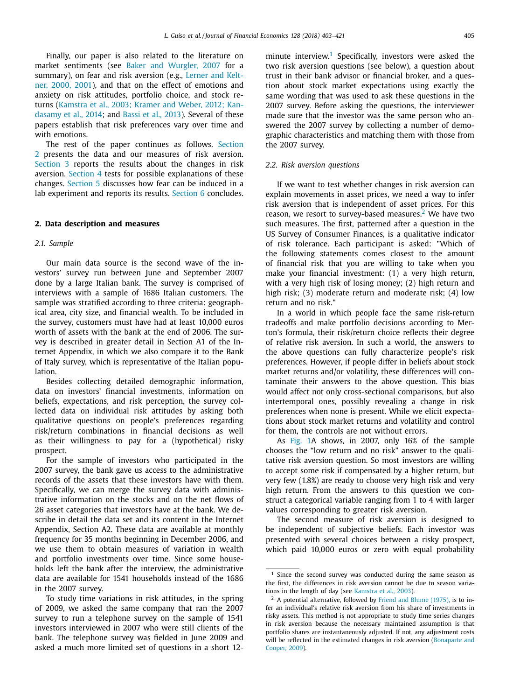<span id="page-2-0"></span>Finally, our paper is also related to the literature on market sentiments (see Baker and [Wurgler,](#page-18-0) 2007 for a [summary\),](#page-18-0) on fear and risk aversion (e.g., Lerner and Keltner, 2000, 2001), and that on the effect of emotions and anxiety on risk attitudes, portfolio choice, and stock returns [\(Kamstra](#page-18-0) et al., 2003; Kramer and Weber, 2012; Kandasamy et al., 2014; and Bassi et al., [2013\)](#page-18-0). Several of these papers establish that risk preferences vary over time and with emotions.

The rest of the paper continues as follows. Section 2 presents the data and our measures of risk aversion. [Section](#page-8-0) 3 reports the results about the changes in risk aversion. [Section](#page-10-0) 4 tests for possible explanations of these changes. [Section](#page-15-0) 5 discusses how fear can be induced in a lab experiment and reports its results. [Section](#page-18-0) 6 concludes.

#### **2. Data description and measures**

#### *2.1. Sample*

Our main data source is the second wave of the investors' survey run between June and September 2007 done by a large Italian bank. The survey is comprised of interviews with a sample of 1686 Italian customers. The sample was stratified according to three criteria: geographical area, city size, and financial wealth. To be included in the survey, customers must have had at least 10,000 euros worth of assets with the bank at the end of 2006. The survey is described in greater detail in Section A1 of the Internet Appendix, in which we also compare it to the Bank of Italy survey, which is representative of the Italian population.

Besides collecting detailed demographic information, data on investors' financial investments, information on beliefs, expectations, and risk perception, the survey collected data on individual risk attitudes by asking both qualitative questions on people's preferences regarding risk/return combinations in financial decisions as well as their willingness to pay for a (hypothetical) risky prospect.

For the sample of investors who participated in the 2007 survey, the bank gave us access to the administrative records of the assets that these investors have with them. Specifically, we can merge the survey data with administrative information on the stocks and on the net flows of 26 asset categories that investors have at the bank. We describe in detail the data set and its content in the Internet Appendix, Section A2. These data are available at monthly frequency for 35 months beginning in December 2006, and we use them to obtain measures of variation in wealth and portfolio investments over time. Since some households left the bank after the interview, the administrative data are available for 1541 households instead of the 1686 in the 2007 survey.

To study time variations in risk attitudes, in the spring of 2009, we asked the same company that ran the 2007 survey to run a telephone survey on the sample of 1541 investors interviewed in 2007 who were still clients of the bank. The telephone survey was fielded in June 2009 and asked a much more limited set of questions in a short 12minute interview.<sup>1</sup> Specifically, investors were asked the two risk aversion questions (see below), a question about trust in their bank advisor or financial broker, and a question about stock market expectations using exactly the same wording that was used to ask these questions in the 2007 survey. Before asking the questions, the interviewer made sure that the investor was the same person who answered the 2007 survey by collecting a number of demographic characteristics and matching them with those from the 2007 survey.

#### *2.2. Risk aversion questions*

If we want to test whether changes in risk aversion can explain movements in asset prices, we need a way to infer risk aversion that is independent of asset prices. For this reason, we resort to survey-based measures.<sup>2</sup> We have two such measures. The first, patterned after a question in the US Survey of Consumer Finances, is a qualitative indicator of risk tolerance. Each participant is asked: "Which of the following statements comes closest to the amount of financial risk that you are willing to take when you make your financial investment: (1) a very high return, with a very high risk of losing money; (2) high return and high risk; (3) moderate return and moderate risk; (4) low return and no risk."

In a world in which people face the same risk-return tradeoffs and make portfolio decisions according to Merton's formula, their risk/return choice reflects their degree of relative risk aversion. In such a world, the answers to the above questions can fully characterize people's risk preferences. However, if people differ in beliefs about stock market returns and/or volatility, these differences will contaminate their answers to the above question. This bias would affect not only cross-sectional comparisons, but also intertemporal ones, possibly revealing a change in risk preferences when none is present. While we elicit expectations about stock market returns and volatility and control for them, the controls are not without errors.

As [Fig.](#page-3-0) 1A shows, in 2007, only 16% of the sample chooses the "low return and no risk" answer to the qualitative risk aversion question. So most investors are willing to accept some risk if compensated by a higher return, but very few (1.8%) are ready to choose very high risk and very high return. From the answers to this question we construct a categorical variable ranging from 1 to 4 with larger values corresponding to greater risk aversion.

The second measure of risk aversion is designed to be independent of subjective beliefs. Each investor was presented with several choices between a risky prospect, which paid 10,000 euros or zero with equal probability

<sup>&</sup>lt;sup>1</sup> Since the second survey was conducted during the same season as the first, the differences in risk aversion cannot be due to season variations in the length of day (see [Kamstra](#page-18-0) et al., 2003).

 $2$  A potential alternative, followed by Friend and Blume [\(1975\),](#page-18-0) is to infer an individual's relative risk aversion from his share of investments in risky assets. This method is not appropriate to study time series changes in risk aversion because the necessary maintained assumption is that portfolio shares are instantaneously adjusted. If not, any adjustment costs will be reflected in the estimated changes in risk aversion [\(Bonaparte](#page-18-0) and Cooper, 2009).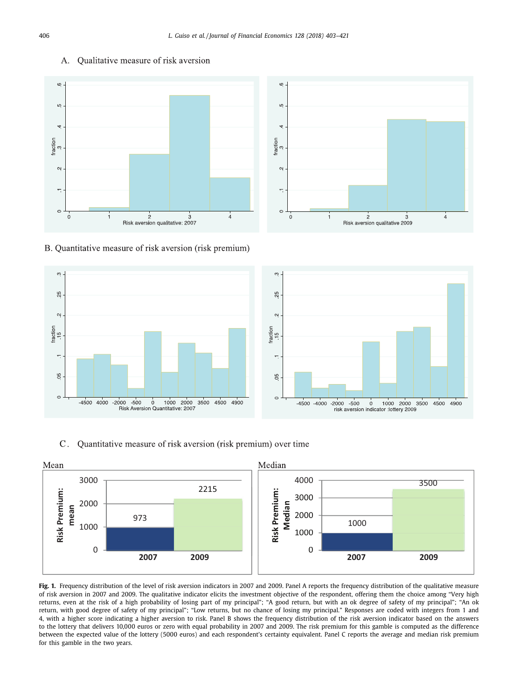

#### <span id="page-3-0"></span>Qualitative measure of risk aversion  $A_{\cdot}$



B. Quantitative measure of risk aversion (risk premium)



Quantitative measure of risk aversion (risk premium) over time  $C_{\cdot}$ 



Fig. 1. Frequency distribution of the level of risk aversion indicators in 2007 and 2009. Panel A reports the frequency distribution of the qualitative measure of risk aversion in 2007 and 2009. The qualitative indicator elicits the investment objective of the respondent, offering them the choice among "Very high returns, even at the risk of a high probability of losing part of my principal"; "A good return, but with an ok degree of safety of my principal"; "An ok return, with good degree of safety of my principal"; "Low returns, but no chance of losing my principal." Responses are coded with integers from 1 and 4, with a higher score indicating a higher aversion to risk. Panel B shows the frequency distribution of the risk aversion indicator based on the answers to the lottery that delivers 10,000 euros or zero with equal probability in 2007 and 2009. The risk premium for this gamble is computed as the difference between the expected value of the lottery (5000 euros) and each respondent's certainty equivalent. Panel C reports the average and median risk premium for this gamble in the two years.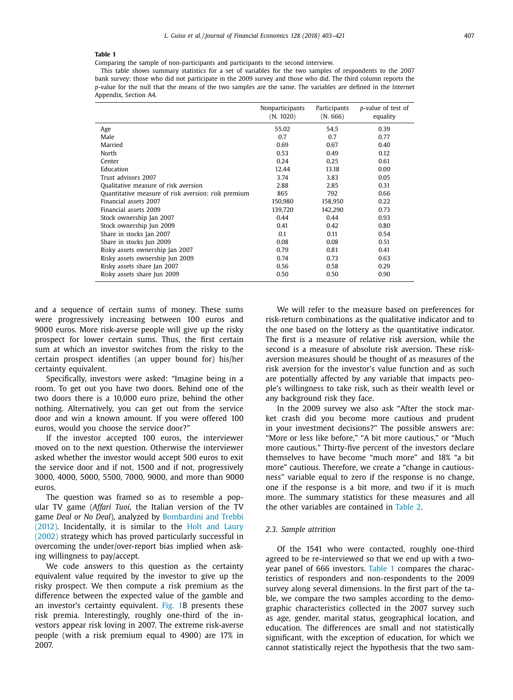<span id="page-4-0"></span>Comparing the sample of non-participants and participants to the second interview.

This table shows summary statistics for a set of variables for the two samples of respondents to the 2007 bank survey: those who did not participate in the 2009 survey and those who did. The third column reports the *p*-value for the null that the means of the two samples are the same. The variables are defined in the Internet Appendix, Section A4.

|                                                     | Nonparticipants<br>(N. 1020) | Participants<br>(N.666) | p-value of test of<br>equality |
|-----------------------------------------------------|------------------------------|-------------------------|--------------------------------|
| Age                                                 | 55.02                        | 54.5                    | 0.39                           |
| Male                                                | 0.7                          | 0.7                     | 0.77                           |
| Married                                             | 0.69                         | 0.67                    | 0.40                           |
| North                                               | 0.53                         | 0.49                    | 0.12                           |
| Center                                              | 0.24                         | 0.25                    | 0.61                           |
| Education                                           | 12.44                        | 13.18                   | 0.00                           |
| Trust advisors 2007                                 | 3.74                         | 3.83                    | 0.05                           |
| Qualitative measure of risk aversion                | 2.88                         | 2.85                    | 0.31                           |
| Quantitative measure of risk aversion: risk premium | 865                          | 792                     | 0.66                           |
| Financial assets 2007                               | 150,980                      | 158,950                 | 0.22                           |
| Financial assets 2009                               | 139,720                      | 142,290                 | 0.73                           |
| Stock ownership Jan 2007                            | 0.44                         | 0.44                    | 0.93                           |
| Stock ownership Jun 2009                            | 0.41                         | 0.42                    | 0.80                           |
| Share in stocks Jan 2007                            | 0.1                          | 0.11                    | 0.54                           |
| Share in stocks Jun 2009                            | 0.08                         | 0.08                    | 0.51                           |
| Risky assets ownership Jan 2007                     | 0.79                         | 0.81                    | 0.41                           |
| Risky assets ownership Jun 2009                     | 0.74                         | 0.73                    | 0.63                           |
| Risky assets share Jan 2007                         | 0.56                         | 0.58                    | 0.29                           |
| Risky assets share Jun 2009                         | 0.50                         | 0.50                    | 0.90                           |

and a sequence of certain sums of money. These sums were progressively increasing between 100 euros and 9000 euros. More risk-averse people will give up the risky prospect for lower certain sums. Thus, the first certain sum at which an investor switches from the risky to the certain prospect identifies (an upper bound for) his/her certainty equivalent.

Specifically, investors were asked: "Imagine being in a room. To get out you have two doors. Behind one of the two doors there is a 10,000 euro prize, behind the other nothing. Alternatively, you can get out from the service door and win a known amount. If you were offered 100 euros, would you choose the service door?"

If the investor accepted 100 euros, the interviewer moved on to the next question. Otherwise the interviewer asked whether the investor would accept 500 euros to exit the service door and if not, 1500 and if not, progressively 3000, 4000, 5000, 5500, 7000, 9000, and more than 9000 euros.

The question was framed so as to resemble a popular TV game (*Affari Tuoi*, the Italian version of the TV game *Deal or No Deal*), analyzed by Bombardini and Trebbi (2012). [Incidentally,](#page-18-0) it is similar to the Holt and Laury (2002) strategy which has proved particularly successful in overcoming the under/over-report bias implied when asking willingness to pay/accept.

We code answers to this question as the certainty equivalent value required by the investor to give up the risky prospect. We then compute a risk premium as the difference between the expected value of the gamble and an investor's certainty equivalent. [Fig.](#page-3-0) 1B presents these risk premia. Interestingly, roughly one-third of the investors appear risk loving in 2007. The extreme risk-averse people (with a risk premium equal to 4900) are 17% in 2007.

We will refer to the measure based on preferences for risk-return combinations as the qualitative indicator and to the one based on the lottery as the quantitative indicator. The first is a measure of relative risk aversion, while the second is a measure of absolute risk aversion. These riskaversion measures should be thought of as measures of the risk aversion for the investor's value function and as such are potentially affected by any variable that impacts people's willingness to take risk, such as their wealth level or any background risk they face.

In the 2009 survey we also ask "After the stock market crash did you become more cautious and prudent in your investment decisions?" The possible answers are: "More or less like before," "A bit more cautious," or "Much more cautious." Thirty-five percent of the investors declare themselves to have become "much more" and 18% "a bit more" cautious. Therefore, we create a "change in cautiousness" variable equal to zero if the response is no change, one if the response is a bit more, and two if it is much more. The summary statistics for these measures and all the other variables are contained in [Table](#page-5-0) 2.

#### *2.3. Sample attrition*

Of the 1541 who were contacted, roughly one-third agreed to be re-interviewed so that we end up with a twoyear panel of 666 investors. Table 1 compares the characteristics of responders and non-respondents to the 2009 survey along several dimensions. In the first part of the table, we compare the two samples according to the demographic characteristics collected in the 2007 survey such as age, gender, marital status, geographical location, and education. The differences are small and not statistically significant, with the exception of education, for which we cannot statistically reject the hypothesis that the two sam-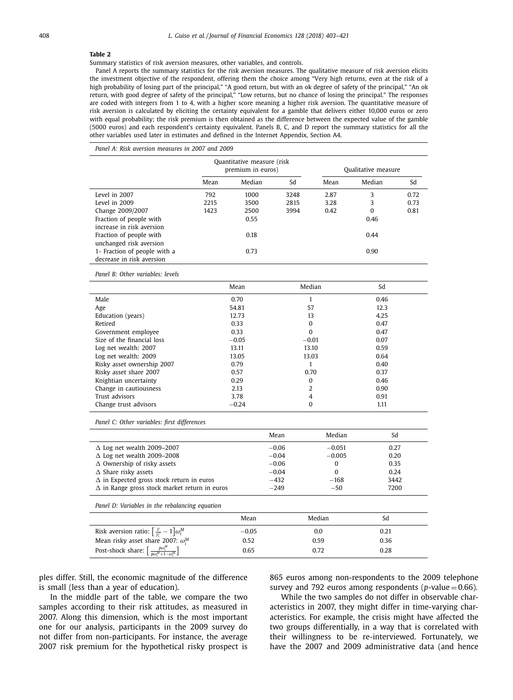<span id="page-5-0"></span>Summary statistics of risk aversion measures, other variables, and controls.

Panel A reports the summary statistics for the risk aversion measures. The qualitative measure of risk aversion elicits the investment objective of the respondent, offering them the choice among "Very high returns, even at the risk of a high probability of losing part of the principal," "A good return, but with an ok degree of safety of the principal," "An ok return, with good degree of safety of the principal," "Low returns, but no chance of losing the principal." The responses are coded with integers from 1 to 4, with a higher score meaning a higher risk aversion. The quantitative measure of risk aversion is calculated by eliciting the certainty equivalent for a gamble that delivers either 10,000 euros or zero with equal probability; the risk premium is then obtained as the difference between the expected value of the gamble (5000 euros) and each respondent's certainty equivalent. Panels B, C, and D report the summary statistics for all the other variables used later in estimates and defined in the Internet Appendix, Section A4.

*Panel A: Risk aversion measures in 2007 and 2009*

|                              | Quantitative measure (risk<br>premium in euros) |        |      |      | Qualitative measure |      |
|------------------------------|-------------------------------------------------|--------|------|------|---------------------|------|
|                              | Mean                                            | Median | Sd   | Mean | Median              | Sd   |
| Level in 2007                | 792                                             | 1000   | 3248 | 2.87 | 3                   | 0.72 |
| Level in 2009                | 2215                                            | 3500   | 2815 | 3.28 | 3                   | 0.73 |
| Change 2009/2007             | 1423                                            | 2500   | 3994 | 0.42 | 0                   | 0.81 |
| Fraction of people with      |                                                 | 0.55   |      | 0.46 |                     |      |
| increase in risk aversion    |                                                 |        |      |      |                     |      |
| Fraction of people with      |                                                 | 0.18   |      |      | 0.44                |      |
| unchanged risk aversion      |                                                 |        |      |      |                     |      |
| 1- Fraction of people with a |                                                 | 0.73   |      |      | 0.90                |      |
| decrease in risk aversion    |                                                 |        |      |      |                     |      |

*Panel B: Other variables: levels*

| Mean    | Median         | Sd   |
|---------|----------------|------|
| 0.70    |                | 0.46 |
| 54.81   | 57             | 12.3 |
| 12.73   | 13             | 4.25 |
| 0.33    | 0              | 0.47 |
| 0.33    | $\bf{0}$       | 0.47 |
| $-0.05$ | $-0.01$        | 0.07 |
| 13.11   | 13.10          | 0.59 |
| 13.05   | 13.03          | 0.64 |
| 0.79    | ٠              | 0.40 |
| 0.57    | 0.70           | 0.37 |
| 0.29    | 0              | 0.46 |
| 2.13    | $\overline{2}$ | 0.90 |
| 3.78    | 4              | 0.91 |
| $-0.24$ | 0              | 1.11 |
|         |                |      |

*Panel C: Other variables: first differences*

|                                                      | Mean    | Median   | Sd   |
|------------------------------------------------------|---------|----------|------|
| $\Delta$ Log net wealth 2009-2007                    | $-0.06$ | $-0.051$ | 0.27 |
| $\Delta$ Log net wealth 2009-2008                    | $-0.04$ | $-0.005$ | 0.20 |
| $\Delta$ Ownership of risky assets                   | $-0.06$ | 0        | 0.35 |
| $\Delta$ Share risky assets                          | $-0.04$ | 0        | 0.24 |
| $\Delta$ in Expected gross stock return in euros     | $-432$  | $-168$   | 3442 |
| $\Delta$ in Range gross stock market return in euros | $-249$  | $-50$    | 7200 |

*Panel D: Variables in the rebalancing equation*

|                                                                               | Mean    | Median |      |  |
|-------------------------------------------------------------------------------|---------|--------|------|--|
| Risk aversion ratio: $\left[\frac{\gamma}{\gamma_1'}-1\right]\omega_i^M$      | $-0.05$ | 0.0    | 0.21 |  |
| Mean risky asset share 2007: $\omega_i^M$                                     | 0.52    | 0.59   | 0.36 |  |
| Post-shock share: $\left[\frac{p\omega_i^M}{p\omega_i^M+1-\omega_i^M}\right]$ | 0.65    | 0.72   | 0.28 |  |

ples differ. Still, the economic magnitude of the difference is small (less than a year of education).

In the middle part of the table, we compare the two samples according to their risk attitudes, as measured in 2007. Along this dimension, which is the most important one for our analysis, participants in the 2009 survey do not differ from non-participants. For instance, the average 2007 risk premium for the hypothetical risky prospect is

865 euros among non-respondents to the 2009 telephone survey and 792 euros among respondents ( $p$ -value = 0.66).

While the two samples do not differ in observable characteristics in 2007, they might differ in time-varying characteristics. For example, the crisis might have affected the two groups differentially, in a way that is correlated with their willingness to be re-interviewed. Fortunately, we have the 2007 and 2009 administrative data (and hence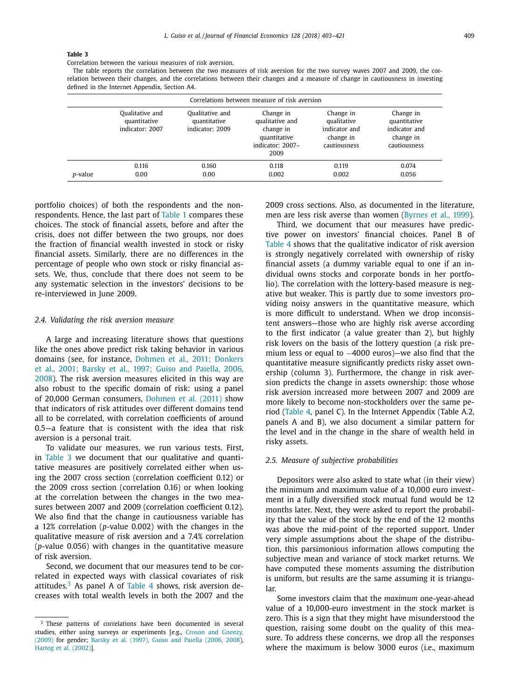Correlation between the various measures of risk aversion.

The table reports the correlation between the two measures of risk aversion for the two survey waves 2007 and 2009, the correlation between their changes, and the correlations between their changes and a measure of change in cautiousness in investing defined in the Internet Appendix, Section A4.

| Correlations between measure of risk aversion |                                                    |                                                    |                                                                                       |                                                                        |                                                                         |  |
|-----------------------------------------------|----------------------------------------------------|----------------------------------------------------|---------------------------------------------------------------------------------------|------------------------------------------------------------------------|-------------------------------------------------------------------------|--|
|                                               | Qualitative and<br>quantitative<br>indicator: 2007 | Qualitative and<br>quantitative<br>indicator: 2009 | Change in<br>qualitative and<br>change in<br>quantitative<br>indicator: 2007-<br>2009 | Change in<br>qualitative<br>indicator and<br>change in<br>cautiousness | Change in<br>quantitative<br>indicator and<br>change in<br>cautiousness |  |
| p-value                                       | 0.116<br>0.00                                      | 0.160<br>0.00                                      | 0.118<br>0.002                                                                        | 0.119<br>0.002                                                         | 0.074<br>0.056                                                          |  |

portfolio choices) of both the respondents and the nonrespondents. Hence, the last part of [Table](#page-4-0) 1 compares these choices. The stock of financial assets, before and after the crisis, does not differ between the two groups, nor does the fraction of financial wealth invested in stock or risky financial assets. Similarly, there are no differences in the percentage of people who own stock or risky financial assets. We, thus, conclude that there does not seem to be any systematic selection in the investors' decisions to be re-interviewed in June 2009.

#### *2.4. Validating the risk aversion measure*

A large and increasing literature shows that questions like the ones above predict risk taking behavior in various domains (see, for instance, Dohmen et al., 2011; Donkers et al., 2001; Barsky et al., 1997; Guiso and Paiella, 2006, 2008). The risk aversion [measures](#page-18-0) elicited in this way are also robust to the specific domain of risk: using a panel of 20,000 German consumers, [Dohmen](#page-18-0) et al. (2011) show that indicators of risk attitudes over different domains tend all to be correlated, with correlation coefficients of around 0.5—a feature that is consistent with the idea that risk aversion is a personal trait.

To validate our measures, we run various tests. First, in Table 3 we document that our qualitative and quantitative measures are positively correlated either when using the 2007 cross section (correlation coefficient 0.12) or the 2009 cross section (correlation 0.16) or when looking at the correlation between the changes in the two measures between 2007 and 2009 (correlation coefficient 0.12). We also find that the change in cautiousness variable has a 12% correlation (*p*-value 0.002) with the changes in the qualitative measure of risk aversion and a 7.4% correlation (*p*-value 0.056) with changes in the quantitative measure of risk aversion.

Second, we document that our measures tend to be correlated in expected ways with classical covariates of risk attitudes.<sup>3</sup> As panel A of [Table](#page-7-0) 4 shows, risk aversion decreases with total wealth levels in both the 2007 and the 2009 cross sections. Also, as documented in the literature, men are less risk averse than women [\(Byrnes](#page-18-0) et al., 1999).

Third, we document that our measures have predictive power on investors' financial choices. Panel B of [Table](#page-7-0) 4 shows that the qualitative indicator of risk aversion is strongly negatively correlated with ownership of risky financial assets (a dummy variable equal to one if an individual owns stocks and corporate bonds in her portfolio). The correlation with the lottery-based measure is negative but weaker. This is partly due to some investors providing noisy answers in the quantitative measure, which is more difficult to understand. When we drop inconsistent answers—those who are highly risk averse according to the first indicator (a value greater than 2), but highly risk lovers on the basis of the lottery question (a risk premium less or equal to −4000 euros)—we also find that the quantitative measure significantly predicts risky asset ownership (column 3). Furthermore, the change in risk aversion predicts the change in assets ownership: those whose risk aversion increased more between 2007 and 2009 are more likely to become non-stockholders over the same period [\(Table](#page-7-0) 4, panel C). In the Internet Appendix (Table A.2, panels A and B), we also document a similar pattern for the level and in the change in the share of wealth held in risky assets.

#### *2.5. Measure of subjective probabilities*

Depositors were also asked to state what (in their view) the minimum and maximum value of a 10,000 euro investment in a fully diversified stock mutual fund would be 12 months later. Next, they were asked to report the probability that the value of the stock by the end of the 12 months was above the mid-point of the reported support. Under very simple assumptions about the shape of the distribution, this parsimonious information allows computing the subjective mean and variance of stock market returns. We have computed these moments assuming the distribution is uniform, but results are the same assuming it is triangular.

Some investors claim that the *maximum* one-year-ahead value of a 10,000-euro investment in the stock market is zero. This is a sign that they might have misunderstood the question, raising some doubt on the quality of this measure. To address these concerns, we drop all the responses where the maximum is below 3000 euros (i.e., maximum

<sup>&</sup>lt;sup>3</sup> These patterns of correlations have been documented in several studies, either using surveys or [experiments](#page-18-0) [e.g., Croson and Gneezy, (2009) for gender; Barsky et al. [\(1997\),](#page-18-0) Guiso and Paiella (2006, 2008), Hartog et al. [\(2002\)\]](#page-18-0).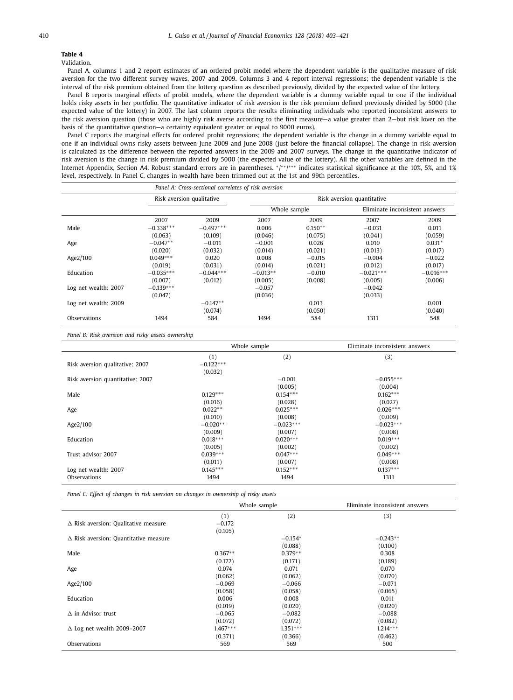<span id="page-7-0"></span>Validation.

Panel A, columns 1 and 2 report estimates of an ordered probit model where the dependent variable is the qualitative measure of risk aversion for the two different survey waves, 2007 and 2009. Columns 3 and 4 report interval regressions; the dependent variable is the interval of the risk premium obtained from the lottery question as described previously, divided by the expected value of the lottery.

Panel B reports marginal effects of probit models, where the dependent variable is a dummy variable equal to one if the individual holds risky assets in her portfolio. The quantitative indicator of risk aversion is the risk premium defined previously divided by 5000 (the expected value of the lottery) in 2007. The last column reports the results eliminating individuals who reported inconsistent answers to the risk aversion question (those who are highly risk averse according to the first measure—a value greater than 2—but risk lover on the basis of the quantitative question—a certainty equivalent greater or equal to 9000 euros).

Panel C reports the marginal effects for ordered probit regressions; the dependent variable is the change in a dummy variable equal to one if an individual owns risky assets between June 2009 and June 2008 (just before the financial collapse). The change in risk aversion is calculated as the difference between the reported answers in the 2009 and 2007 surveys. The change in the quantitative indicator of risk aversion is the change in risk premium divided by 5000 (the expected value of the lottery). All the other variables are defined in the Internet Appendix, Section A4. Robust standard errors are in parentheses. \*/\*\*/\*\*\* indicates statistical significance at the 10%, 5%, and 1% level, respectively. In Panel C, changes in wealth have been trimmed out at the 1st and 99th percentiles.

|                      |                           | Panel A: Cross-sectional correlates of risk aversion |                            |           |             |                                |
|----------------------|---------------------------|------------------------------------------------------|----------------------------|-----------|-------------|--------------------------------|
|                      | Risk aversion qualitative |                                                      | Risk aversion quantitative |           |             |                                |
|                      |                           |                                                      | Whole sample               |           |             | Eliminate inconsistent answers |
|                      | 2007                      | 2009                                                 | 2007                       | 2009      | 2007        | 2009                           |
| Male                 | $-0.338***$               | $-0.497***$                                          | 0.006                      | $0.150**$ | $-0.031$    | 0.011                          |
|                      | (0.063)                   | (0.109)                                              | (0.046)                    | (0.075)   | (0.041)     | (0.059)                        |
| Age                  | $-0.047**$                | $-0.011$                                             | $-0.001$                   | 0.026     | 0.010       | $0.031*$                       |
|                      | (0.020)                   | (0.032)                                              | (0.014)                    | (0.021)   | (0.013)     | (0.017)                        |
| Age2/100             | $0.049***$                | 0.020                                                | 0.008                      | $-0.015$  | $-0.004$    | $-0.022$                       |
|                      | (0.019)                   | (0.031)                                              | (0.014)                    | (0.021)   | (0.012)     | (0.017)                        |
| Education            | $-0.035***$               | $-0.044***$                                          | $-0.013**$                 | $-0.010$  | $-0.021***$ | $-0.016***$                    |
|                      | (0.007)                   | (0.012)                                              | (0.005)                    | (0.008)   | (0.005)     | (0.006)                        |
| Log net wealth: 2007 | $-0.139***$               |                                                      | $-0.057$                   |           | $-0.042$    |                                |
|                      | (0.047)                   |                                                      | (0.036)                    |           | (0.033)     |                                |
| Log net wealth: 2009 |                           | $-0.147**$                                           |                            | 0.013     |             | 0.001                          |
|                      |                           | (0.074)                                              |                            | (0.050)   |             | (0.040)                        |
| Observations         | 1494                      | 584                                                  | 1494                       | 584       | 1311        | 548                            |

*Panel B: Risk aversion and risky assets ownership*

|                                  |             | Whole sample | Eliminate inconsistent answers |
|----------------------------------|-------------|--------------|--------------------------------|
|                                  | (1)         | (2)          | (3)                            |
| Risk aversion qualitative: 2007  | $-0.122***$ |              |                                |
|                                  | (0.032)     |              |                                |
| Risk aversion quantitative: 2007 |             | $-0.001$     | $-0.055***$                    |
|                                  |             | (0.005)      | (0.004)                        |
| Male                             | $0.129***$  | $0.154***$   | $0.162***$                     |
|                                  | (0.016)     | (0.028)      | (0.027)                        |
| Age                              | $0.022**$   | $0.025***$   | $0.026***$                     |
|                                  | (0.010)     | (0.008)      | (0.009)                        |
| Age2/100                         | $-0.020**$  | $-0.023***$  | $-0.023***$                    |
|                                  | (0.009)     | (0.007)      | (0.008)                        |
| Education                        | $0.018***$  | $0.020***$   | $0.019***$                     |
|                                  | (0.005)     | (0.002)      | (0.002)                        |
| Trust advisor 2007               | $0.039***$  | $0.047***$   | $0.049***$                     |
|                                  | (0.011)     | (0.007)      | (0.008)                        |
| Log net wealth: 2007             | $0.145***$  | $0.152***$   | $0.137***$                     |
| Observations                     | 1494        | 1494         | 1311                           |

*Panel C: Effect of changes in risk aversion on changes in ownership of risky assets*

|                                              | Whole sample |            | Eliminate inconsistent answers |
|----------------------------------------------|--------------|------------|--------------------------------|
|                                              | (1)          | (2)        | (3)                            |
| $\Delta$ Risk aversion: Qualitative measure  | $-0.172$     |            |                                |
|                                              | (0.105)      |            |                                |
| $\Delta$ Risk aversion: Quantitative measure |              | $-0.154*$  | $-0.243**$                     |
|                                              |              | (0.088)    | (0.100)                        |
| Male                                         | $0.367**$    | $0.379**$  | 0.308                          |
|                                              | (0.172)      | (0.171)    | (0.189)                        |
| Age                                          | 0.074        | 0.071      | 0.070                          |
|                                              | (0.062)      | (0.062)    | (0.070)                        |
| Age2/100                                     | $-0.069$     | $-0.066$   | $-0.071$                       |
|                                              | (0.058)      | (0.058)    | (0.065)                        |
| Education                                    | 0.006        | 0.008      | 0.011                          |
|                                              | (0.019)      | (0.020)    | (0.020)                        |
| $\Lambda$ in Advisor trust                   | $-0.065$     | $-0.082$   | $-0.088$                       |
|                                              | (0.072)      | (0.072)    | (0.082)                        |
| $\Delta$ Log net wealth 2009-2007            | $1.467***$   | $1.351***$ | $1.214***$                     |
|                                              | (0.371)      | (0.366)    | (0.462)                        |
| Observations                                 | 569          | 569        | 500                            |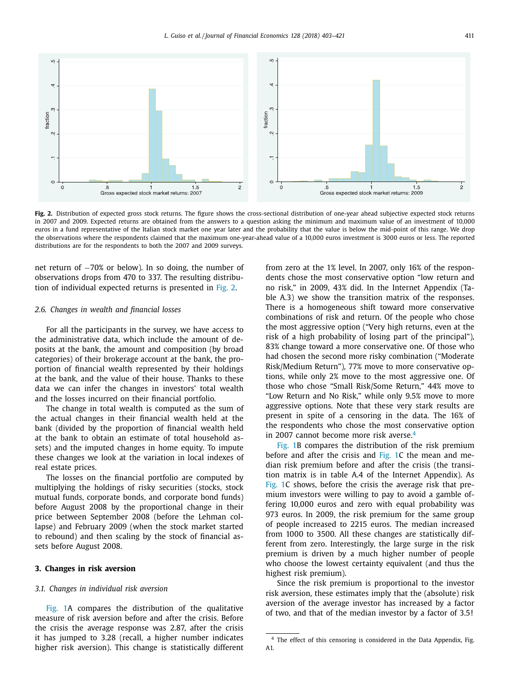<span id="page-8-0"></span>

**Fig. 2.** Distribution of expected gross stock returns. The figure shows the cross-sectional distribution of one-year ahead subjective expected stock returns in 2007 and 2009. Expected returns are obtained from the answers to a question asking the minimum and maximum value of an investment of 10,000 euros in a fund representative of the Italian stock market one year later and the probability that the value is below the mid-point of this range. We drop the observations where the respondents claimed that the maximum one-year-ahead value of a 10,000 euros investment is 3000 euros or less. The reported distributions are for the respondents to both the 2007 and 2009 surveys.

net return of −70% or below). In so doing, the number of observations drops from 470 to 337. The resulting distribution of individual expected returns is presented in Fig. 2.

#### *2.6. Changes in wealth and financial losses*

For all the participants in the survey, we have access to the administrative data, which include the amount of deposits at the bank, the amount and composition (by broad categories) of their brokerage account at the bank, the proportion of financial wealth represented by their holdings at the bank, and the value of their house. Thanks to these data we can infer the changes in investors' total wealth and the losses incurred on their financial portfolio.

The change in total wealth is computed as the sum of the actual changes in their financial wealth held at the bank (divided by the proportion of financial wealth held at the bank to obtain an estimate of total household assets) and the imputed changes in home equity. To impute these changes we look at the variation in local indexes of real estate prices.

The losses on the financial portfolio are computed by multiplying the holdings of risky securities (stocks, stock mutual funds, corporate bonds, and corporate bond funds) before August 2008 by the proportional change in their price between September 2008 (before the Lehman collapse) and February 2009 (when the stock market started to rebound) and then scaling by the stock of financial assets before August 2008.

#### **3. Changes in risk aversion**

#### *3.1. Changes in individual risk aversion*

[Fig.](#page-3-0) 1A compares the distribution of the qualitative measure of risk aversion before and after the crisis. Before the crisis the average response was 2.87, after the crisis it has jumped to 3.28 (recall, a higher number indicates higher risk aversion). This change is statistically different

from zero at the 1% level. In 2007, only 16% of the respondents chose the most conservative option "low return and no risk," in 2009, 43% did. In the Internet Appendix (Table A.3) we show the transition matrix of the responses. There is a homogeneous shift toward more conservative combinations of risk and return. Of the people who chose the most aggressive option ("Very high returns, even at the risk of a high probability of losing part of the principal"), 83% change toward a more conservative one. Of those who had chosen the second more risky combination ("Moderate Risk/Medium Return"), 77% move to more conservative options, while only 2% move to the most aggressive one. Of those who chose "Small Risk/Some Return," 44% move to "Low Return and No Risk," while only 9.5% move to more aggressive options. Note that these very stark results are present in spite of a censoring in the data. The 16% of the respondents who chose the most conservative option in 2007 cannot become more risk averse. $4$ 

[Fig.](#page-3-0) 1B compares the distribution of the risk premium before and after the crisis and [Fig.](#page-3-0) 1C the mean and median risk premium before and after the crisis (the transition matrix is in table A.4 of the Internet Appendix). As [Fig.](#page-3-0) 1C shows, before the crisis the average risk that premium investors were willing to pay to avoid a gamble offering 10,000 euros and zero with equal probability was 973 euros. In 2009, the risk premium for the same group of people increased to 2215 euros. The median increased from 1000 to 3500. All these changes are statistically different from zero. Interestingly, the large surge in the risk premium is driven by a much higher number of people who choose the lowest certainty equivalent (and thus the highest risk premium).

Since the risk premium is proportional to the investor risk aversion, these estimates imply that the (absolute) risk aversion of the average investor has increased by a factor of two, and that of the median investor by a factor of 3.5!

<sup>4</sup> The effect of this censoring is considered in the Data Appendix, Fig. A1.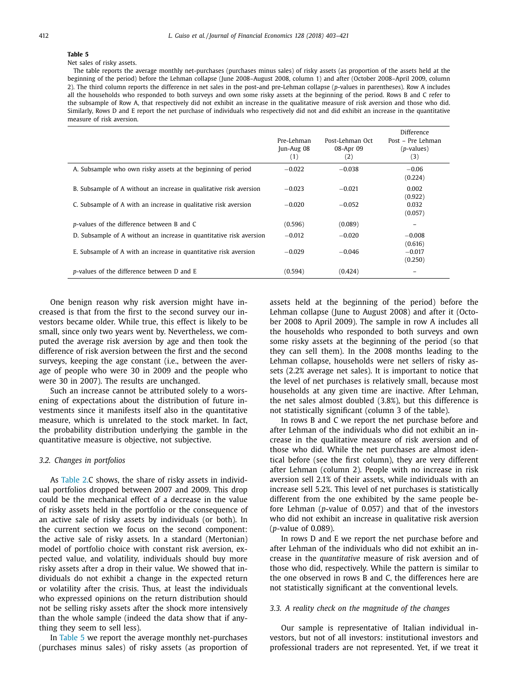#### <span id="page-9-0"></span>Net sales of risky assets.

The table reports the average monthly net-purchases (purchases minus sales) of risky assets (as proportion of the assets held at the beginning of the period) before the Lehman collapse (June 2008–August 2008, column 1) and after (October 2008–April 2009, column 2). The third column reports the difference in net sales in the post-and pre-Lehman collapse (*p*-values in parentheses). Row A includes all the households who responded to both surveys and own some risky assets at the beginning of the period. Rows B and C refer to the subsample of Row A, that respectively did not exhibit an increase in the qualitative measure of risk aversion and those who did. Similarly, Rows D and E report the net purchase of individuals who respectively did not and did exhibit an increase in the quantitative measure of risk aversion.

|                                                                     | Pre-Lehman<br>Jun-Aug 08<br>(1) | Post-Lehman Oct<br>08-Apr 09<br>(2) | Difference<br>Post – Pre Lehman<br>( <i>p</i> -values)<br>(3) |
|---------------------------------------------------------------------|---------------------------------|-------------------------------------|---------------------------------------------------------------|
| A. Subsample who own risky assets at the beginning of period        | $-0.022$                        | $-0.038$                            | $-0.06$<br>(0.224)                                            |
| B. Subsample of A without an increase in qualitative risk aversion  | $-0.023$                        | $-0.021$                            | 0.002<br>(0.922)                                              |
| C. Subsample of A with an increase in qualitative risk aversion     | $-0.020$                        | $-0.052$                            | 0.032<br>(0.057)                                              |
| p-values of the difference between B and C                          | (0.596)                         | (0.089)                             |                                                               |
| D. Subsample of A without an increase in quantitative risk aversion | $-0.012$                        | $-0.020$                            | $-0.008$<br>(0.616)                                           |
| E. Subsample of A with an increase in quantitative risk aversion    | $-0.029$                        | $-0.046$                            | $-0.017$<br>(0.250)                                           |
| p-values of the difference between D and E                          | (0.594)                         | (0.424)                             |                                                               |

One benign reason why risk aversion might have increased is that from the first to the second survey our investors became older. While true, this effect is likely to be small, since only two years went by. Nevertheless, we computed the average risk aversion by age and then took the difference of risk aversion between the first and the second surveys, keeping the age constant (i.e., between the average of people who were 30 in 2009 and the people who were 30 in 2007). The results are unchanged.

Such an increase cannot be attributed solely to a worsening of expectations about the distribution of future investments since it manifests itself also in the quantitative measure, which is unrelated to the stock market. In fact, the probability distribution underlying the gamble in the quantitative measure is objective, not subjective.

#### *3.2. Changes in portfolios*

As [Table](#page-5-0) 2.C shows, the share of risky assets in individual portfolios dropped between 2007 and 2009. This drop could be the mechanical effect of a decrease in the value of risky assets held in the portfolio or the consequence of an active sale of risky assets by individuals (or both). In the current section we focus on the second component: the active sale of risky assets. In a standard (Mertonian) model of portfolio choice with constant risk aversion, expected value, and volatility, individuals should buy more risky assets after a drop in their value. We showed that individuals do not exhibit a change in the expected return or volatility after the crisis. Thus, at least the individuals who expressed opinions on the return distribution should not be selling risky assets after the shock more intensively than the whole sample (indeed the data show that if anything they seem to sell less).

In Table 5 we report the average monthly net-purchases (purchases minus sales) of risky assets (as proportion of assets held at the beginning of the period) before the Lehman collapse (June to August 2008) and after it (October 2008 to April 2009). The sample in row A includes all the households who responded to both surveys and own some risky assets at the beginning of the period (so that they can sell them). In the 2008 months leading to the Lehman collapse, households were net sellers of risky assets (2.2% average net sales). It is important to notice that the level of net purchases is relatively small, because most households at any given time are inactive. After Lehman, the net sales almost doubled (3.8%), but this difference is not statistically significant (column 3 of the table).

In rows B and C we report the net purchase before and after Lehman of the individuals who did not exhibit an increase in the qualitative measure of risk aversion and of those who did. While the net purchases are almost identical before (see the first column), they are very different after Lehman (column 2). People with no increase in risk aversion sell 2.1% of their assets, while individuals with an increase sell 5.2%. This level of net purchases is statistically different from the one exhibited by the same people before Lehman (*p*-value of 0.057) and that of the investors who did not exhibit an increase in qualitative risk aversion (*p*-value of 0.089).

In rows D and E we report the net purchase before and after Lehman of the individuals who did not exhibit an increase in the *quantitative* measure of risk aversion and of those who did, respectively. While the pattern is similar to the one observed in rows B and C, the differences here are not statistically significant at the conventional levels.

#### *3.3. A reality check on the magnitude of the changes*

Our sample is representative of Italian individual investors, but not of all investors: institutional investors and professional traders are not represented. Yet, if we treat it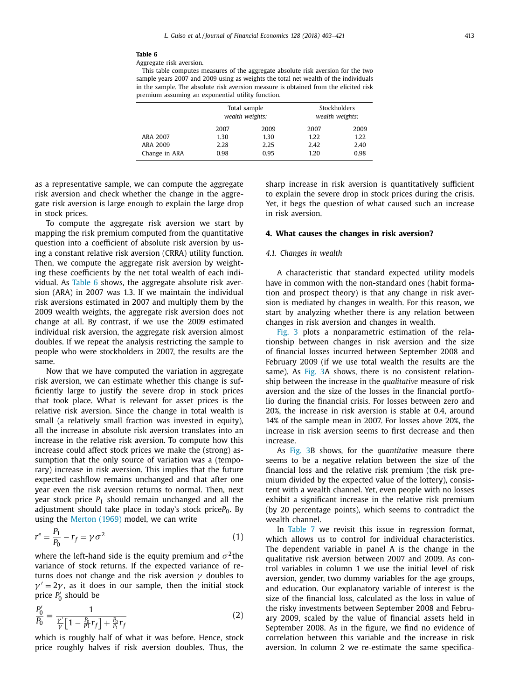<span id="page-10-0"></span>Aggregate risk aversion.

This table computes measures of the aggregate absolute risk aversion for the two sample years 2007 and 2009 using as weights the total net wealth of the individuals in the sample. The absolute risk aversion measure is obtained from the elicited risk premium assuming an exponential utility function.

|               | Total sample<br>wealth weights: |      |      | Stockholders<br>wealth weights: |
|---------------|---------------------------------|------|------|---------------------------------|
|               | 2007                            | 2009 | 2007 | 2009                            |
| ARA 2007      | 1.30                            | 1.30 | 1.22 | 1.22                            |
| ARA 2009      | 2.28                            | 2.25 | 2.42 | 2.40                            |
| Change in ARA | 0.98                            | 0.95 | 1.20 | 0.98                            |

as a representative sample, we can compute the aggregate risk aversion and check whether the change in the aggregate risk aversion is large enough to explain the large drop in stock prices.

To compute the aggregate risk aversion we start by mapping the risk premium computed from the quantitative question into a coefficient of absolute risk aversion by using a constant relative risk aversion (CRRA) utility function. Then, we compute the aggregate risk aversion by weighting these coefficients by the net total wealth of each individual. As Table 6 shows, the aggregate absolute risk aversion (ARA) in 2007 was 1.3. If we maintain the individual risk aversions estimated in 2007 and multiply them by the 2009 wealth weights, the aggregate risk aversion does not change at all. By contrast, if we use the 2009 estimated individual risk aversion, the aggregate risk aversion almost doubles. If we repeat the analysis restricting the sample to people who were stockholders in 2007, the results are the same.

Now that we have computed the variation in aggregate risk aversion, we can estimate whether this change is sufficiently large to justify the severe drop in stock prices that took place. What is relevant for asset prices is the relative risk aversion. Since the change in total wealth is small (a relatively small fraction was invested in equity), all the increase in absolute risk aversion translates into an increase in the relative risk aversion. To compute how this increase could affect stock prices we make the (strong) assumption that the only source of variation was a (temporary) increase in risk aversion. This implies that the future expected cashflow remains unchanged and that after one year even the risk aversion returns to normal. Then, next year stock price  $P_1$  should remain unchanged and all the adjustment should take place in today's stock priceP<sub>0</sub>. By using the [Merton](#page-18-0) (1969) model, we can write

$$
r^e = \frac{P_1}{P_0} - r_f = \gamma \sigma^2 \tag{1}
$$

where the left-hand side is the equity premium and  $\sigma^2$ the variance of stock returns. If the expected variance of returns does not change and the risk aversion  $\gamma$  doubles to  $\gamma' = 2\gamma$ , as it does in our sample, then the initial stock price *P* <sup>0</sup> should be

$$
\frac{P_0'}{P_0} = \frac{1}{\frac{\gamma'}{r} \left[1 - \frac{P_0}{P_1} r_f\right] + \frac{P_0}{P_1} r_f} \tag{2}
$$

which is roughly half of what it was before. Hence, stock price roughly halves if risk aversion doubles. Thus, the sharp increase in risk aversion is quantitatively sufficient to explain the severe drop in stock prices during the crisis. Yet, it begs the question of what caused such an increase in risk aversion.

#### **4. What causes the changes in risk aversion?**

#### *4.1. Changes in wealth*

A characteristic that standard expected utility models have in common with the non-standard ones (habit formation and prospect theory) is that any change in risk aversion is mediated by changes in wealth. For this reason, we start by analyzing whether there is any relation between changes in risk aversion and changes in wealth.

[Fig.](#page-11-0) 3 plots a nonparametric estimation of the relationship between changes in risk aversion and the size of financial losses incurred between September 2008 and February 2009 (if we use total wealth the results are the same). As [Fig.](#page-11-0) 3A shows, there is no consistent relationship between the increase in the *qualitative* measure of risk aversion and the size of the losses in the financial portfolio during the financial crisis. For losses between zero and 20%, the increase in risk aversion is stable at 0.4, around 14% of the sample mean in 2007. For losses above 20%, the increase in risk aversion seems to first decrease and then increase.

As [Fig.](#page-11-0) 3B shows, for the *quantitative* measure there seems to be a negative relation between the size of the financial loss and the relative risk premium (the risk premium divided by the expected value of the lottery), consistent with a wealth channel. Yet, even people with no losses exhibit a significant increase in the relative risk premium (by 20 percentage points), which seems to contradict the wealth channel.

In [Table](#page-12-0) 7 we revisit this issue in regression format, which allows us to control for individual characteristics. The dependent variable in panel A is the change in the qualitative risk aversion between 2007 and 2009. As control variables in column 1 we use the initial level of risk aversion, gender, two dummy variables for the age groups, and education. Our explanatory variable of interest is the size of the financial loss, calculated as the loss in value of the risky investments between September 2008 and February 2009, scaled by the value of financial assets held in September 2008. As in the figure, we find no evidence of correlation between this variable and the increase in risk aversion. In column 2 we re-estimate the same specifica-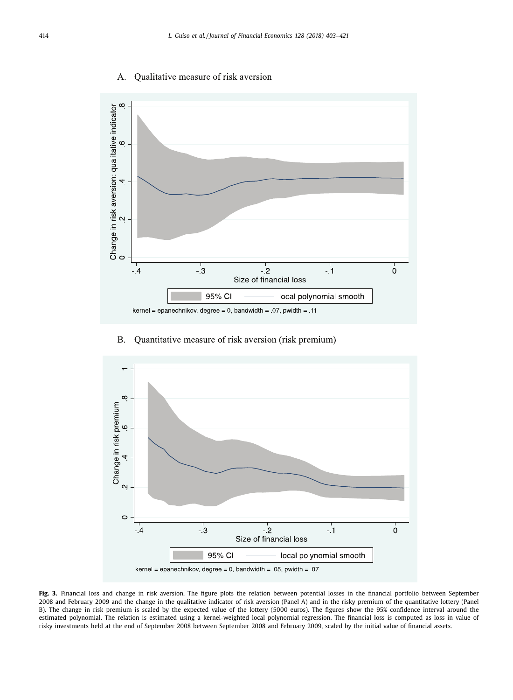#### Qualitative measure of risk aversion A.

<span id="page-11-0"></span>

# B. Quantitative measure of risk aversion (risk premium)



**Fig. 3.** Financial loss and change in risk aversion. The figure plots the relation between potential losses in the financial portfolio between September 2008 and February 2009 and the change in the qualitative indicator of risk aversion (Panel A) and in the risky premium of the quantitative lottery (Panel B). The change in risk premium is scaled by the expected value of the lottery (5000 euros). The figures show the 95% confidence interval around the estimated polynomial. The relation is estimated using a kernel-weighted local polynomial regression. The financial loss is computed as loss in value of risky investments held at the end of September 2008 between September 2008 and February 2009, scaled by the initial value of financial assets.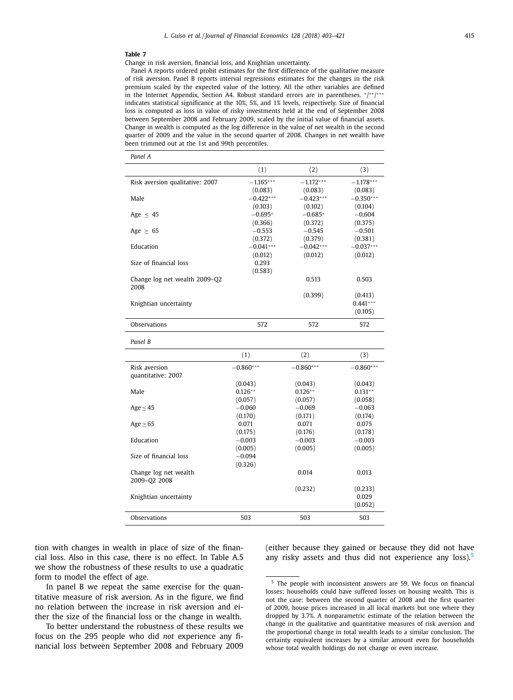*Panel A*

<span id="page-12-0"></span>Change in risk aversion, financial loss, and Knightian uncertainty.

Panel A reports ordered probit estimates for the first difference of the qualitative measure of risk aversion. Panel B reports interval regressions estimates for the changes in the risk premium scaled by the expected value of the lottery. All the other variables are defined in the Internet Appendix, Section A4. Robust standard errors are in parentheses. \*/\*\*/\*\*\* indicates statistical significance at the 10%, 5%, and 1% levels, respectively. Size of financial loss is computed as loss in value of risky investments held at the end of September 2008 between September 2008 and February 2009, scaled by the initial value of financial assets. Change in wealth is computed as the log difference in the value of net wealth in the second quarter of 2009 and the value in the second quarter of 2008. Changes in net wealth have been trimmed out at the 1st and 99th percentiles.

| ғанен н                         |             |             |             |
|---------------------------------|-------------|-------------|-------------|
|                                 | (1)         | (2)         | (3)         |
| Risk aversion qualitative: 2007 | $-1.165***$ | $-1.172***$ | $-1.178***$ |
|                                 | (0.083)     | (0.083)     | (0.083)     |
| Male                            | $-0.422***$ | $-0.423***$ | $-0.350***$ |
|                                 | (0.103)     | (0.102)     | (0.104)     |
| Age $\leq 45$                   | $-0.695*$   | $-0.685*$   | $-0.604$    |
|                                 | (0.366)     | (0.372)     | (0.375)     |
| Age $\geq 65$                   | $-0.553$    | $-0.545$    | $-0.501$    |
|                                 | (0.372)     | (0.379)     | (0.381)     |
| Education                       | $-0.041***$ | $-0.042***$ | $-0.037***$ |
|                                 |             |             |             |
|                                 | (0.012)     | (0.012)     | (0.012)     |
| Size of financial loss          | 0.293       |             |             |
|                                 | (0.583)     |             |             |
| Change log net wealth 2009-Q2   |             | 0.513       | 0.503       |
| 2008                            |             |             |             |
|                                 |             | (0.399)     | (0.413)     |
| Knightian uncertainty           |             |             | $0.441***$  |
|                                 |             |             | (0.105)     |
| <b>Observations</b>             | 572         | 572         | 572         |
|                                 |             |             |             |
| Panel B                         |             |             |             |
|                                 | (1)         | (2)         | (3)         |
| Risk aversion                   | $-0.860***$ | $-0.860***$ | $-0.860***$ |
| quantitative: 2007              |             |             |             |
|                                 | (0.043)     | (0.043)     | (0.043)     |
| Male                            | $0.126**$   | $0.126**$   | $0.131**$   |
|                                 | (0.057)     | (0.057)     | (0.058)     |
| Age $\leq$ 45                   | $-0.060$    | $-0.069$    | $-0.063$    |
|                                 | (0.170)     | (0.171)     | (0.174)     |
| Age > 65                        | 0.071       | 0.071       | 0.075       |
|                                 | (0.175)     | (0.176)     | (0.178)     |
| Education                       | $-0.003$    | $-0.003$    | $-0.003$    |
|                                 | (0.005)     | (0.005)     | (0.005)     |
| Size of financial loss          | $-0.094$    |             |             |
|                                 |             |             |             |
|                                 | (0.326)     |             |             |
| Change log net wealth           |             | 0.014       | 0.013       |
| 2009-02 2008                    |             |             |             |
|                                 |             | (0.232)     | (0.233)     |
| Knightian uncertainty           |             |             | 0.029       |
|                                 |             |             | (0.052)     |
| Observations                    | 503         | 503         | 503         |
|                                 |             |             |             |

tion with changes in wealth in place of size of the financial loss. Also in this case, there is no effect. In Table A.5 we show the robustness of these results to use a quadratic form to model the effect of age.

In panel B we repeat the same exercise for the quantitative measure of risk aversion. As in the figure, we find no relation between the increase in risk aversion and either the size of the financial loss or the change in wealth.

To better understand the robustness of these results we focus on the 295 people who did *not* experience any financial loss between September 2008 and February 2009 (either because they gained or because they did not have any risky assets and thus did not experience any loss).<sup>5</sup>

<sup>&</sup>lt;sup>5</sup> The people with inconsistent answers are 59. We focus on financial losses; households could have suffered losses on housing wealth. This is not the case: between the second quarter of 2008 and the first quarter of 2009, house prices increased in all local markets but one where they dropped by 3.7%. A nonparametric estimate of the relation between the change in the qualitative and quantitative measures of risk aversion and the proportional change in total wealth leads to a similar conclusion. The certainty equivalent increases by a similar amount even for households whose total wealth holdings do not change or even increase.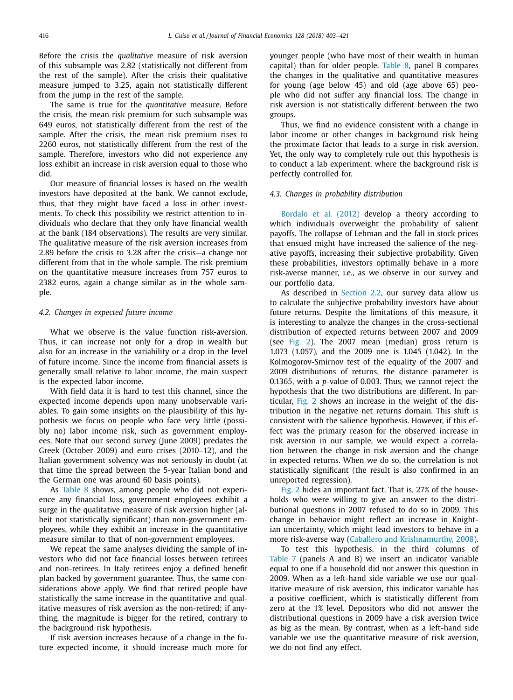Before the crisis the *qualitative* measure of risk aversion of this subsample was 2.82 (statistically not different from the rest of the sample). After the crisis their qualitative measure jumped to 3.25, again not statistically different from the jump in the rest of the sample.

The same is true for the *quantitative* measure. Before the crisis, the mean risk premium for such subsample was 649 euros, not statistically different from the rest of the sample. After the crisis, the mean risk premium rises to 2260 euros, not statistically different from the rest of the sample. Therefore, investors who did not experience any loss exhibit an increase in risk aversion equal to those who did.

Our measure of financial losses is based on the wealth investors have deposited at the bank. We cannot exclude, thus, that they might have faced a loss in other investments. To check this possibility we restrict attention to individuals who declare that they only have financial wealth at the bank (184 observations). The results are very similar. The qualitative measure of the risk aversion increases from 2.89 before the crisis to 3.28 after the crisis—a change not different from that in the whole sample. The risk premium on the quantitative measure increases from 757 euros to 2382 euros, again a change similar as in the whole sample.

#### *4.2. Changes in expected future income*

What we observe is the value function risk-aversion. Thus, it can increase not only for a drop in wealth but also for an increase in the variability or a drop in the level of future income. Since the income from financial assets is generally small relative to labor income, the main suspect is the expected labor income.

With field data it is hard to test this channel, since the expected income depends upon many unobservable variables. To gain some insights on the plausibility of this hypothesis we focus on people who face very little (possibly no) labor income risk, such as government employees. Note that our second survey (June 2009) predates the Greek (October 2009) and euro crises (2010–12), and the Italian government solvency was not seriously in doubt (at that time the spread between the 5-year Italian bond and the German one was around 60 basis points).

As [Table](#page-14-0) 8 shows, among people who did not experience any financial loss, government employees exhibit a surge in the qualitative measure of risk aversion higher (albeit not statistically significant) than non-government employees, while they exhibit an increase in the quantitative measure similar to that of non-government employees.

We repeat the same analyses dividing the sample of investors who did not face financial losses between retirees and non-retirees. In Italy retirees enjoy a defined benefit plan backed by government guarantee. Thus, the same considerations above apply. We find that retired people have statistically the same increase in the quantitative and qualitative measures of risk aversion as the non-retired; if anything, the magnitude is bigger for the retired, contrary to the background risk hypothesis.

If risk aversion increases because of a change in the future expected income, it should increase much more for younger people (who have most of their wealth in human capital) than for older people. [Table](#page-14-0) 8, panel B compares the changes in the qualitative and quantitative measures for young (age below 45) and old (age above 65) people who did not suffer any financial loss. The change in risk aversion is not statistically different between the two groups.

Thus, we find no evidence consistent with a change in labor income or other changes in background risk being the proximate factor that leads to a surge in risk aversion. Yet, the only way to completely rule out this hypothesis is to conduct a lab experiment, where the background risk is perfectly controlled for.

#### *4.3. Changes in probability distribution*

[Bordalo](#page-18-0) et al. (2012) develop a theory according to which individuals overweight the probability of salient payoffs. The collapse of Lehman and the fall in stock prices that ensued might have increased the salience of the negative payoffs, increasing their subjective probability. Given these probabilities, investors optimally behave in a more risk-averse manner, i.e., as we observe in our survey and our portfolio data.

As described in [Section](#page-2-0) 2.2, our survey data allow us to calculate the subjective probability investors have about future returns. Despite the limitations of this measure, it is interesting to analyze the changes in the cross-sectional distribution of expected returns between 2007 and 2009 (see [Fig.](#page-8-0) 2). The 2007 mean (median) gross return is 1.073 (1.057), and the 2009 one is 1.045 (1.042). In the Kolmogorov-Smirnov test of the equality of the 2007 and 2009 distributions of returns, the distance parameter is 0.1365, with a *p*-value of 0.003. Thus, we cannot reject the hypothesis that the two distributions are different. In particular, [Fig.](#page-8-0) 2 shows an increase in the weight of the distribution in the negative net returns domain. This shift is consistent with the salience hypothesis. However, if this effect was the primary reason for the observed increase in risk aversion in our sample, we would expect a correlation between the change in risk aversion and the change in expected returns. When we do so, the correlation is not statistically significant (the result is also confirmed in an unreported regression).

[Fig.](#page-8-0) 2 hides an important fact. That is, 27% of the households who were willing to give an answer to the distributional questions in 2007 refused to do so in 2009. This change in behavior might reflect an increase in Knightian uncertainty, which might lead investors to behave in a more risk-averse way (Caballero and [Krishnamurthy,](#page-18-0) 2008).

To test this hypothesis, in the third columns of [Table](#page-12-0) 7 (panels A and B) we insert an indicator variable equal to one if a household did not answer this question in 2009. When as a left-hand side variable we use our qualitative measure of risk aversion, this indicator variable has a positive coefficient, which is statistically different from zero at the 1% level. Depositors who did not answer the distributional questions in 2009 have a risk aversion twice as big as the mean. By contrast, when as a left-hand side variable we use the quantitative measure of risk aversion, we do not find any effect.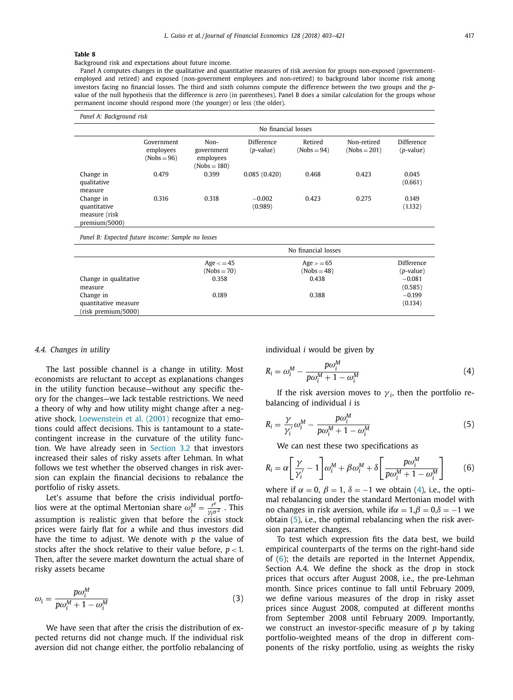<span id="page-14-0"></span>Background risk and expectations about future income.

Panel A computes changes in the qualitative and quantitative measures of risk aversion for groups non-exposed (governmentemployed and retired) and exposed (non-government employees and non-retired) to background labor income risk among investors facing no financial losses. The third and sixth columns compute the difference between the two groups and the *p*value of the null hypothesis that the difference is zero (in parentheses). Panel B does a similar calculation for the groups whose permanent income should respond more (the younger) or less (the older).

| Panel A: Background risk                                    |                                          |                                                   |                            |                          |                               |                         |  |
|-------------------------------------------------------------|------------------------------------------|---------------------------------------------------|----------------------------|--------------------------|-------------------------------|-------------------------|--|
|                                                             | No financial losses                      |                                                   |                            |                          |                               |                         |  |
|                                                             | Government<br>employees<br>$(Nobs = 96)$ | Non-<br>government<br>employees<br>$(Nobs = 180)$ | Difference<br>$(p$ -value) | Retired<br>$(Nobs = 94)$ | Non-retired<br>$(Nobs = 201)$ | Difference<br>(p-value) |  |
| Change in<br>qualitative<br>measure                         | 0.479                                    | 0.399                                             | 0.085(0.420)               | 0.468                    | 0.423                         | 0.045<br>(0.661)        |  |
| Change in<br>quantitative<br>measure (risk<br>premium/5000) | 0.316                                    | 0.318                                             | $-0.002$<br>(0.989)        | 0.423                    | 0.275                         | 0.149<br>(1.132)        |  |

*Panel B: Expected future income: Sample no losses*

|                       |               | No financial losses |             |
|-----------------------|---------------|---------------------|-------------|
|                       | $Age < = 45$  | $Age = 65$          | Difference  |
|                       | $(Nobs = 70)$ | $(Nobs = 48)$       | $(p-value)$ |
| Change in qualitative | 0.358         | 0.438               | $-0.081$    |
| measure               |               |                     | (0.585)     |
| Change in             | 0.189         | 0.388               | $-0.199$    |
| quantitative measure  |               |                     | (0.134)     |
| (risk premium/5000)   |               |                     |             |

### *4.4. Changes in utility*

The last possible channel is a change in utility. Most economists are reluctant to accept as explanations changes in the utility function because—without any specific theory for the changes—we lack testable restrictions. We need a theory of why and how utility might change after a negative shock. [Loewenstein](#page-18-0) et al. (2001) recognize that emotions could affect decisions. This is tantamount to a statecontingent increase in the curvature of the utility function. We have already seen in [Section](#page-9-0) 3.2 that investors increased their sales of risky assets after Lehman. In what follows we test whether the observed changes in risk aversion can explain the financial decisions to rebalance the portfolio of risky assets.

Let's assume that before the crisis individual portfolios were at the optimal Mertonian share  $\omega_i^M = \frac{r^e}{\gamma_i \sigma^2}$ . This assumption is realistic given that before the crisis stock prices were fairly flat for a while and thus investors did have the time to adjust. We denote with *p* the value of stocks after the shock relative to their value before,  $p < 1$ . Then, after the severe market downturn the actual share of risky assets became

$$
\omega_i = \frac{p\omega_i^M}{p\omega_i^M + 1 - \omega_i^M}
$$
\n(3)

We have seen that after the crisis the distribution of expected returns did not change much. If the individual risk aversion did not change either, the portfolio rebalancing of individual *i* would be given by

$$
R_i = \omega_i^M - \frac{p\omega_i^M}{p\omega_i^M + 1 - \omega_i^M}
$$
 (4)

If the risk aversion moves to  $\gamma_i$ , then the portfolio rebalancing of individual *i* is

$$
R_i = \frac{\gamma}{\gamma_i'} \omega_i^M - \frac{p\omega_i^M}{p\omega_i^M + 1 - \omega_i^M}
$$
(5)

We can nest these two specifications as

$$
R_i = \alpha \left[ \frac{\gamma}{\gamma_i'} - 1 \right] \omega_i^M + \beta \omega_i^M + \delta \left[ \frac{p \omega_i^M}{p \omega_i^M + 1 - \omega_i^M} \right] \tag{6}
$$

where if  $\alpha = 0$ ,  $\beta = 1$ ,  $\delta = -1$  we obtain (4), i.e., the optimal rebalancing under the standard Mertonian model with no changes in risk aversion, while if $\alpha = 1, \beta = 0, \delta = -1$  we obtain (5), i.e., the optimal rebalancing when the risk aversion parameter changes.

To test which expression fits the data best, we build empirical counterparts of the terms on the right-hand side of  $(6)$ ; the details are reported in the Internet Appendix, Section A.4. We define the shock as the drop in stock prices that occurs after August 2008, i.e., the pre-Lehman month. Since prices continue to fall until February 2009, we define various measures of the drop in risky asset prices since August 2008, computed at different months from September 2008 until February 2009. Importantly, we construct an investor-specific measure of *p* by taking portfolio-weighted means of the drop in different components of the risky portfolio, using as weights the risky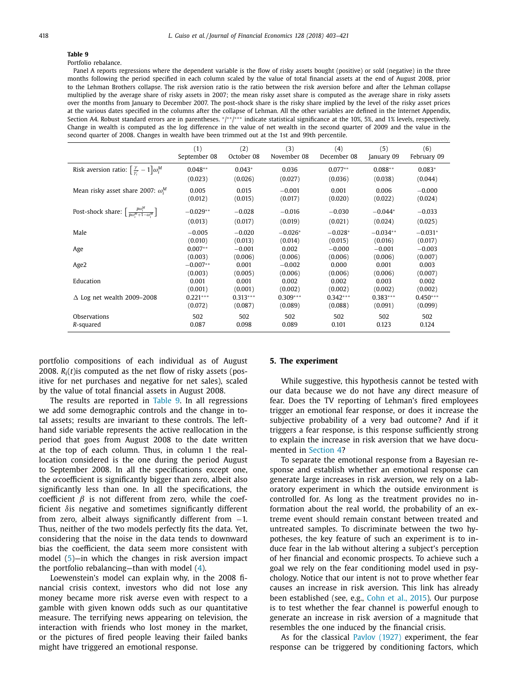### <span id="page-15-0"></span>Portfolio rebalance.

Panel A reports regressions where the dependent variable is the flow of risky assets bought (positive) or sold (negative) in the three months following the period specified in each column scaled by the value of total financial assets at the end of August 2008, prior to the Lehman Brothers collapse. The risk aversion ratio is the ratio between the risk aversion before and after the Lehman collapse multiplied by the average share of risky assets in 2007; the mean risky asset share is computed as the average share in risky assets over the months from January to December 2007. The post-shock share is the risky share implied by the level of the risky asset prices at the various dates specified in the columns after the collapse of Lehman. All the other variables are defined in the Internet Appendix, Section A4. Robust standard errors are in parentheses. \*/\*\*/\*\*\* indicate statistical significance at the 10%, 5%, and 1% levels, respectively. Change in wealth is computed as the log difference in the value of net wealth in the second quarter of 2009 and the value in the second quarter of 2008. Changes in wealth have been trimmed out at the 1st and 99th percentile.

|                                                                               | (1)<br>September 08 | (2)<br>October 08 | (3)<br>November 08 | (4)<br>December 08 | (5)<br>January 09 | (6)<br>February 09 |
|-------------------------------------------------------------------------------|---------------------|-------------------|--------------------|--------------------|-------------------|--------------------|
| Risk aversion ratio: $\left[\frac{\gamma}{\gamma'}-1\right]\omega_i^M$        | $0.048**$           | $0.043*$          | 0.036              | $0.077**$          | $0.088**$         | $0.083*$           |
|                                                                               | (0.023)             | (0.026)           | (0.027)            | (0.036)            | (0.038)           | (0.044)            |
| Mean risky asset share 2007: $\omega_i^M$                                     | 0.005               | 0.015             | $-0.001$           | 0.001              | 0.006             | $-0.000$           |
|                                                                               | (0.012)             | (0.015)           | (0.017)            | (0.020)            | (0.022)           | (0.024)            |
| Post-shock share: $\left[\frac{p\omega_i^M}{p\omega_i^M+1-\omega_i^M}\right]$ | $-0.029**$          | $-0.028$          | $-0.016$           | $-0.030$           | $-0.044*$         | $-0.033$           |
|                                                                               | (0.013)             | (0.017)           | (0.019)            | (0.021)            | (0.024)           | (0.025)            |
| Male                                                                          | $-0.005$            | $-0.020$          | $-0.026*$          | $-0.028*$          | $-0.034**$        | $-0.031*$          |
|                                                                               | (0.010)             | (0.013)           | (0.014)            | (0.015)            | (0.016)           | (0.017)            |
| Age                                                                           | $0.007**$           | $-0.001$          | 0.002              | $-0.000$           | $-0.001$          | $-0.003$           |
|                                                                               | (0.003)             | (0.006)           | (0.006)            | (0.006)            | (0.006)           | (0.007)            |
| Age2                                                                          | $-0.007**$          | 0.001             | $-0.002$           | 0.000              | 0.001             | 0.003              |
|                                                                               | (0.003)             | (0.005)           | (0.006)            | (0.006)            | (0.006)           | (0.007)            |
| Education                                                                     | 0.001               | 0.001             | 0.002              | 0.002              | 0.003             | 0.002              |
|                                                                               | (0.001)             | (0.001)           | (0.002)            | (0.002)            | (0.002)           | (0.002)            |
| $\Delta$ Log net wealth 2009-2008                                             | $0.221***$          | $0.313***$        | $0.309***$         | $0.342***$         | $0.383***$        | $0.450***$         |
|                                                                               | (0.072)             | (0.087)           | (0.089)            | (0.088)            | (0.091)           | (0.099)            |
| Observations                                                                  | 502                 | 502               | 502                | 502                | 502               | 502                |
| R-squared                                                                     | 0.087               | 0.098             | 0.089              | 0.101              | 0.123             | 0.124              |

portfolio compositions of each individual as of August 2008. *Ri*(*t*)is computed as the net flow of risky assets (positive for net purchases and negative for net sales), scaled by the value of total financial assets in August 2008.

The results are reported in Table 9. In all regressions we add some demographic controls and the change in total assets; results are invariant to these controls. The lefthand side variable represents the active reallocation in the period that goes from August 2008 to the date written at the top of each column. Thus, in column 1 the reallocation considered is the one during the period August to September 2008. In all the specifications except one, the  $\alpha$  coefficient is significantly bigger than zero, albeit also significantly less than one. In all the specifications, the coefficient  $\beta$  is not different from zero, while the coefficient  $\delta$  is negative and sometimes significantly different from zero, albeit always significantly different from  $-1$ . Thus, neither of the two models perfectly fits the data. Yet, considering that the noise in the data tends to downward bias the coefficient, the data seem more consistent with model [\(5\)](#page-14-0)—in which the changes in risk aversion impact the portfolio rebalancing—than with model [\(4\)](#page-14-0).

Loewenstein's model can explain why, in the 2008 financial crisis context, investors who did not lose any money became more risk averse even with respect to a gamble with given known odds such as our quantitative measure. The terrifying news appearing on television, the interaction with friends who lost money in the market, or the pictures of fired people leaving their failed banks might have triggered an emotional response.

#### **5. The experiment**

While suggestive, this hypothesis cannot be tested with our data because we do not have any direct measure of fear. Does the TV reporting of Lehman's fired employees trigger an emotional fear response, or does it increase the subjective probability of a very bad outcome? And if it triggers a fear response, is this response sufficiently strong to explain the increase in risk aversion that we have documented in [Section](#page-10-0) 4?

To separate the emotional response from a Bayesian response and establish whether an emotional response can generate large increases in risk aversion, we rely on a laboratory experiment in which the outside environment is controlled for. As long as the treatment provides no information about the real world, the probability of an extreme event should remain constant between treated and untreated samples. To discriminate between the two hypotheses, the key feature of such an experiment is to induce fear in the lab without altering a subject's perception of her financial and economic prospects. To achieve such a goal we rely on the fear conditioning model used in psychology. Notice that our intent is not to prove whether fear causes an increase in risk aversion. This link has already been established (see, e.g., [Cohn](#page-18-0) et al., 2015). Our purpose is to test whether the fear channel is powerful enough to generate an increase in risk aversion of a magnitude that resembles the one induced by the financial crisis.

As for the classical [Pavlov](#page-18-0) (1927) experiment, the fear response can be triggered by conditioning factors, which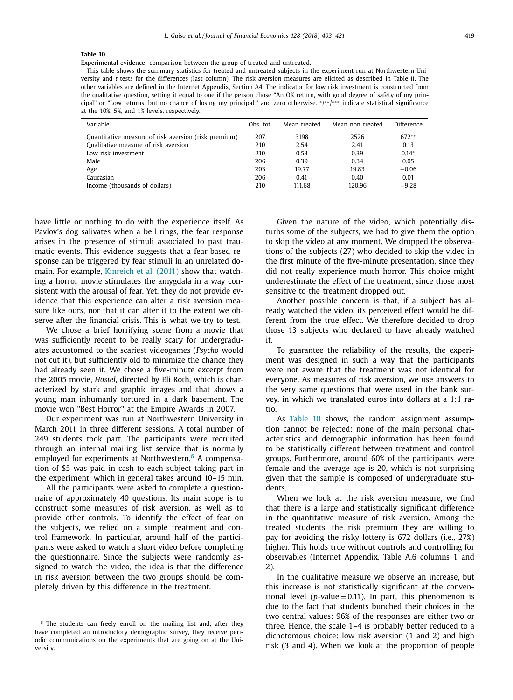Experimental evidence: comparison between the group of treated and untreated.

This table shows the summary statistics for treated and untreated subjects in the experiment run at Northwestern University and *t*-tests for the differences (last column). The risk aversion measures are elicited as described in Table II. The other variables are defined in the Internet Appendix, Section A4. The indicator for low risk investment is constructed from the qualitative question, setting it equal to one if the person chose "An OK return, with good degree of safety of my principal" or "Low returns, but no chance of losing my principal," and zero otherwise. <sup>∗</sup>/ ∗ ∗/ ∗∗∗ indicate statistical significance at the 10%, 5%, and 1% levels, respectively.

| Variable                                             | Obs. tot. | Mean treated | Mean non-treated | Difference |
|------------------------------------------------------|-----------|--------------|------------------|------------|
| Quantitative measure of risk aversion (risk premium) | 207       | 3198         | 2526             | $672**$    |
| Qualitative measure of risk aversion                 | 210       | 2.54         | 2.41             | 0.13       |
| Low risk investment                                  | 210       | 0.53         | 0.39             | $0.14*$    |
| Male                                                 | 206       | 0.39         | 0.34             | 0.05       |
| Age                                                  | 203       | 19.77        | 19.83            | $-0.06$    |
| Caucasian                                            | 206       | 0.41         | 0.40             | 0.01       |
| Income (thousands of dollars)                        | 210       | 111.68       | 120.96           | $-9.28$    |

have little or nothing to do with the experience itself. As Pavlov's dog salivates when a bell rings, the fear response arises in the presence of stimuli associated to past traumatic events. This evidence suggests that a fear-based response can be triggered by fear stimuli in an unrelated domain. For example, [Kinreich](#page-18-0) et al. (2011) show that watching a horror movie stimulates the amygdala in a way consistent with the arousal of fear. Yet, they do not provide evidence that this experience can alter a risk aversion measure like ours, nor that it can alter it to the extent we observe after the financial crisis. This is what we try to test.

We chose a brief horrifying scene from a movie that was sufficiently recent to be really scary for undergraduates accustomed to the scariest videogames (*Psycho* would not cut it), but sufficiently old to minimize the chance they had already seen it. We chose a five-minute excerpt from the 2005 movie, *Hostel*, directed by Eli Roth, which is characterized by stark and graphic images and that shows a young man inhumanly tortured in a dark basement. The movie won "Best Horror" at the Empire Awards in 2007.

Our experiment was run at Northwestern University in March 2011 in three different sessions. A total number of 249 students took part. The participants were recruited through an internal mailing list service that is normally employed for experiments at Northwestern. $6$  A compensation of \$5 was paid in cash to each subject taking part in the experiment, which in general takes around 10–15 min.

All the participants were asked to complete a questionnaire of approximately 40 questions. Its main scope is to construct some measures of risk aversion, as well as to provide other controls. To identify the effect of fear on the subjects, we relied on a simple treatment and control framework. In particular, around half of the participants were asked to watch a short video before completing the questionnaire. Since the subjects were randomly assigned to watch the video, the idea is that the difference in risk aversion between the two groups should be completely driven by this difference in the treatment.

Given the nature of the video, which potentially disturbs some of the subjects, we had to give them the option to skip the video at any moment. We dropped the observations of the subjects (27) who decided to skip the video in the first minute of the five-minute presentation, since they did not really experience much horror. This choice might underestimate the effect of the treatment, since those most sensitive to the treatment dropped out.

Another possible concern is that, if a subject has already watched the video, its perceived effect would be different from the true effect. We therefore decided to drop those 13 subjects who declared to have already watched it.

To guarantee the reliability of the results, the experiment was designed in such a way that the participants were not aware that the treatment was not identical for everyone. As measures of risk aversion, we use answers to the very same questions that were used in the bank survey, in which we translated euros into dollars at a 1:1 ratio.

As Table 10 shows, the random assignment assumption cannot be rejected: none of the main personal characteristics and demographic information has been found to be statistically different between treatment and control groups. Furthermore, around 60% of the participants were female and the average age is 20, which is not surprising given that the sample is composed of undergraduate students.

When we look at the risk aversion measure, we find that there is a large and statistically significant difference in the quantitative measure of risk aversion. Among the treated students, the risk premium they are willing to pay for avoiding the risky lottery is 672 dollars (i.e., 27%) higher. This holds true without controls and controlling for observables (Internet Appendix, Table A.6 columns 1 and 2).

In the qualitative measure we observe an increase, but this increase is not statistically significant at the conventional level ( $p$ -value = 0.11). In part, this phenomenon is due to the fact that students bunched their choices in the two central values: 96% of the responses are either two or three. Hence, the scale 1–4 is probably better reduced to a dichotomous choice: low risk aversion (1 and 2) and high risk (3 and 4). When we look at the proportion of people

<sup>6</sup> The students can freely enroll on the mailing list and, after they have completed an introductory demographic survey, they receive periodic communications on the experiments that are going on at the University.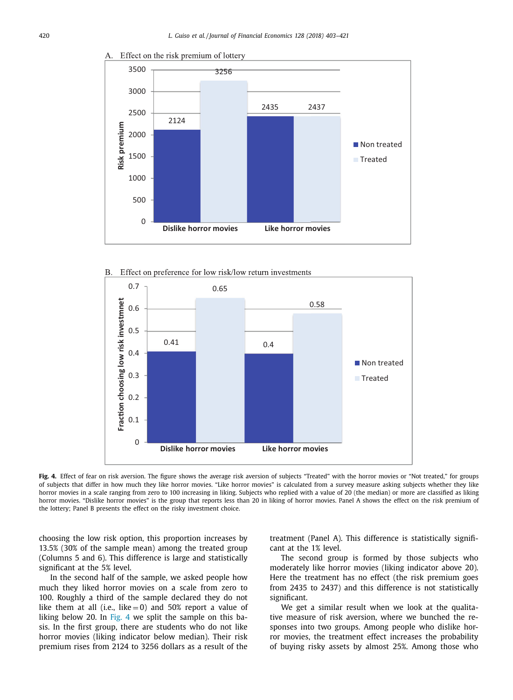

Effect on the risk premium of lottery





**Fig. 4.** Effect of fear on risk aversion. The figure shows the average risk aversion of subjects "Treated" with the horror movies or "Not treated," for groups of subjects that differ in how much they like horror movies. "Like horror movies" is calculated from a survey measure asking subjects whether they like horror movies in a scale ranging from zero to 100 increasing in liking. Subjects who replied with a value of 20 (the median) or more are classified as liking horror movies. "Dislike horror movies" is the group that reports less than 20 in liking of horror movies. Panel A shows the effect on the risk premium of the lottery; Panel B presents the effect on the risky investment choice.

choosing the low risk option, this proportion increases by 13.5% (30% of the sample mean) among the treated group (Columns 5 and 6). This difference is large and statistically significant at the 5% level.

In the second half of the sample, we asked people how much they liked horror movies on a scale from zero to 100. Roughly a third of the sample declared they do not like them at all (i.e., like  $= 0$ ) and 50% report a value of liking below 20. In Fig. 4 we split the sample on this basis. In the first group, there are students who do not like horror movies (liking indicator below median). Their risk premium rises from 2124 to 3256 dollars as a result of the treatment (Panel A). This difference is statistically significant at the 1% level.

The second group is formed by those subjects who moderately like horror movies (liking indicator above 20). Here the treatment has no effect (the risk premium goes from 2435 to 2437) and this difference is not statistically significant.

We get a similar result when we look at the qualitative measure of risk aversion, where we bunched the responses into two groups. Among people who dislike horror movies, the treatment effect increases the probability of buying risky assets by almost 25%. Among those who